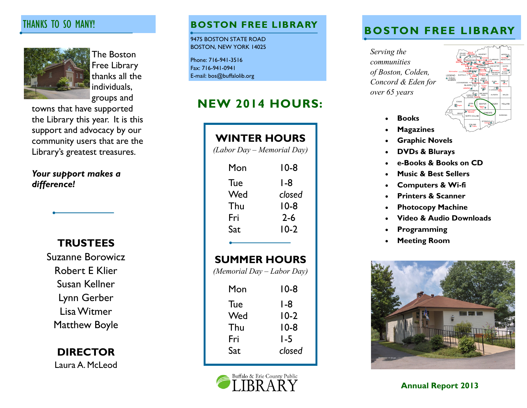# THANKS TO SO MANY!



The Boston Free Library thanks all the individuals, groups and

towns that have supported the Library this year. It is this support and advocacy by our community users that are the Library's greatest treasures.

*Your support makes a difference!*

**TRUSTEES**

Suzanne Borowicz Robert E Klier Susan Kellner Lynn Gerber Lisa Witmer Matthew Boyle

> **DIRECTOR** Laura A. McLeod

9475 BOSTON STATE ROAD BOSTON, NEW YORK 14025

Phone: 716-941-3516 Fax: 716-941-0941 E-mail: bos@buffalolib.org

# **NEW 2014 HOURS:**

| <b>WINTER HOURS</b><br>(Labor Day – Memorial Day) |         |
|---------------------------------------------------|---------|
| Mon                                               | $10-8$  |
| Tue                                               | l -8    |
| Wed                                               | closed  |
| Thu                                               | $10-8$  |
| Fri                                               | $2 - 6$ |
| Sat                                               | $10-2$  |
| <b>SUMMER HOURS</b><br>(Memorial Day – Labor Day) |         |
| Mon                                               | 10-8    |
| Tue                                               | l -8    |
| Wed                                               | $10-2$  |
| Thu                                               | $10-8$  |
| Fri                                               | I -5    |
| Sat                                               | closed  |



# **BOSTON FREE LIBRARY BOSTON FREE LIBRARY**

*Serving the communities of Boston, Colden, Concord & Eden for over 65 years*



- **Books**
- **Magazines**
- **Graphic Novels**
- **DVDs & Blurays**
- **e-Books & Books on CD**
- **Music & Best Sellers**
- **Computers & Wi-fi**
- **Printers & Scanner**
- **Photocopy Machine**
- **Video & Audio Downloads**
- **Programming**
- **Meeting Room**